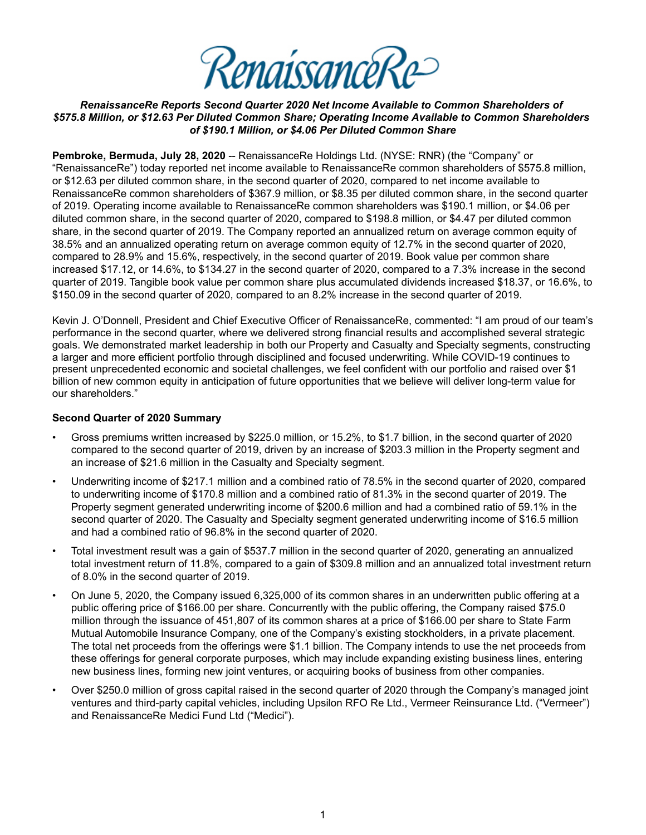

## *RenaissanceRe Reports Second Quarter 2020 Net Income Available to Common Shareholders of \$575.8 Million, or \$12.63 Per Diluted Common Share; Operating Income Available to Common Shareholders of \$190.1 Million, or \$4.06 Per Diluted Common Share*

**Pembroke, Bermuda, July 28, 2020** -- RenaissanceRe Holdings Ltd. (NYSE: RNR) (the "Company" or "RenaissanceRe") today reported net income available to RenaissanceRe common shareholders of \$575.8 million, or \$12.63 per diluted common share, in the second quarter of 2020, compared to net income available to RenaissanceRe common shareholders of \$367.9 million, or \$8.35 per diluted common share, in the second quarter of 2019. Operating income available to RenaissanceRe common shareholders was \$190.1 million, or \$4.06 per diluted common share, in the second quarter of 2020, compared to \$198.8 million, or \$4.47 per diluted common share, in the second quarter of 2019. The Company reported an annualized return on average common equity of 38.5% and an annualized operating return on average common equity of 12.7% in the second quarter of 2020, compared to 28.9% and 15.6%, respectively, in the second quarter of 2019. Book value per common share increased \$17.12, or 14.6%, to \$134.27 in the second quarter of 2020, compared to a 7.3% increase in the second quarter of 2019. Tangible book value per common share plus accumulated dividends increased \$18.37, or 16.6%, to \$150.09 in the second quarter of 2020, compared to an 8.2% increase in the second quarter of 2019.

Kevin J. O'Donnell, President and Chief Executive Officer of RenaissanceRe, commented: "I am proud of our team's performance in the second quarter, where we delivered strong financial results and accomplished several strategic goals. We demonstrated market leadership in both our Property and Casualty and Specialty segments, constructing a larger and more efficient portfolio through disciplined and focused underwriting. While COVID-19 continues to present unprecedented economic and societal challenges, we feel confident with our portfolio and raised over \$1 billion of new common equity in anticipation of future opportunities that we believe will deliver long-term value for our shareholders."

## **Second Quarter of 2020 Summary**

- Gross premiums written increased by \$225.0 million, or 15.2%, to \$1.7 billion, in the second quarter of 2020 compared to the second quarter of 2019, driven by an increase of \$203.3 million in the Property segment and an increase of \$21.6 million in the Casualty and Specialty segment.
- Underwriting income of \$217.1 million and a combined ratio of 78.5% in the second quarter of 2020, compared to underwriting income of \$170.8 million and a combined ratio of 81.3% in the second quarter of 2019. The Property segment generated underwriting income of \$200.6 million and had a combined ratio of 59.1% in the second quarter of 2020. The Casualty and Specialty segment generated underwriting income of \$16.5 million and had a combined ratio of 96.8% in the second quarter of 2020.
- Total investment result was a gain of \$537.7 million in the second quarter of 2020, generating an annualized total investment return of 11.8%, compared to a gain of \$309.8 million and an annualized total investment return of 8.0% in the second quarter of 2019.
- On June 5, 2020, the Company issued 6,325,000 of its common shares in an underwritten public offering at a public offering price of \$166.00 per share. Concurrently with the public offering, the Company raised \$75.0 million through the issuance of 451,807 of its common shares at a price of \$166.00 per share to State Farm Mutual Automobile Insurance Company, one of the Company's existing stockholders, in a private placement. The total net proceeds from the offerings were \$1.1 billion. The Company intends to use the net proceeds from these offerings for general corporate purposes, which may include expanding existing business lines, entering new business lines, forming new joint ventures, or acquiring books of business from other companies.
- Over \$250.0 million of gross capital raised in the second quarter of 2020 through the Company's managed joint ventures and third-party capital vehicles, including Upsilon RFO Re Ltd., Vermeer Reinsurance Ltd. ("Vermeer") and RenaissanceRe Medici Fund Ltd ("Medici").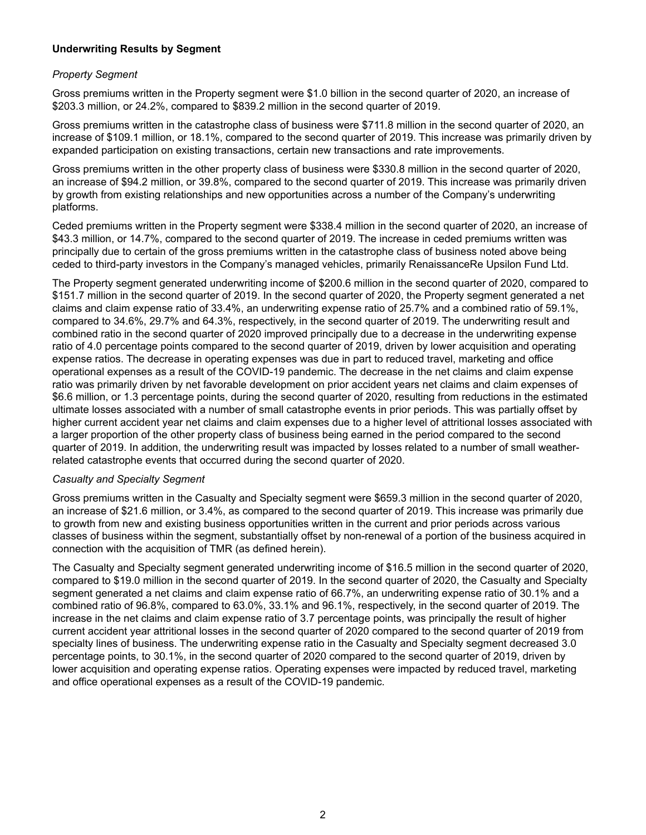## **Underwriting Results by Segment**

## *Property Segment*

Gross premiums written in the Property segment were \$1.0 billion in the second quarter of 2020, an increase of \$203.3 million, or 24.2%, compared to \$839.2 million in the second quarter of 2019.

Gross premiums written in the catastrophe class of business were \$711.8 million in the second quarter of 2020, an increase of \$109.1 million, or 18.1%, compared to the second quarter of 2019. This increase was primarily driven by expanded participation on existing transactions, certain new transactions and rate improvements.

Gross premiums written in the other property class of business were \$330.8 million in the second quarter of 2020, an increase of \$94.2 million, or 39.8%, compared to the second quarter of 2019. This increase was primarily driven by growth from existing relationships and new opportunities across a number of the Company's underwriting platforms.

Ceded premiums written in the Property segment were \$338.4 million in the second quarter of 2020, an increase of \$43.3 million, or 14.7%, compared to the second quarter of 2019. The increase in ceded premiums written was principally due to certain of the gross premiums written in the catastrophe class of business noted above being ceded to third-party investors in the Company's managed vehicles, primarily RenaissanceRe Upsilon Fund Ltd.

The Property segment generated underwriting income of \$200.6 million in the second quarter of 2020, compared to \$151.7 million in the second quarter of 2019. In the second quarter of 2020, the Property segment generated a net claims and claim expense ratio of 33.4%, an underwriting expense ratio of 25.7% and a combined ratio of 59.1%, compared to 34.6%, 29.7% and 64.3%, respectively, in the second quarter of 2019. The underwriting result and combined ratio in the second quarter of 2020 improved principally due to a decrease in the underwriting expense ratio of 4.0 percentage points compared to the second quarter of 2019, driven by lower acquisition and operating expense ratios. The decrease in operating expenses was due in part to reduced travel, marketing and office operational expenses as a result of the COVID-19 pandemic. The decrease in the net claims and claim expense ratio was primarily driven by net favorable development on prior accident years net claims and claim expenses of \$6.6 million, or 1.3 percentage points, during the second quarter of 2020, resulting from reductions in the estimated ultimate losses associated with a number of small catastrophe events in prior periods. This was partially offset by higher current accident year net claims and claim expenses due to a higher level of attritional losses associated with a larger proportion of the other property class of business being earned in the period compared to the second quarter of 2019. In addition, the underwriting result was impacted by losses related to a number of small weatherrelated catastrophe events that occurred during the second quarter of 2020.

## *Casualty and Specialty Segment*

Gross premiums written in the Casualty and Specialty segment were \$659.3 million in the second quarter of 2020, an increase of \$21.6 million, or 3.4%, as compared to the second quarter of 2019. This increase was primarily due to growth from new and existing business opportunities written in the current and prior periods across various classes of business within the segment, substantially offset by non-renewal of a portion of the business acquired in connection with the acquisition of TMR (as defined herein).

The Casualty and Specialty segment generated underwriting income of \$16.5 million in the second quarter of 2020, compared to \$19.0 million in the second quarter of 2019. In the second quarter of 2020, the Casualty and Specialty segment generated a net claims and claim expense ratio of 66.7%, an underwriting expense ratio of 30.1% and a combined ratio of 96.8%, compared to 63.0%, 33.1% and 96.1%, respectively, in the second quarter of 2019. The increase in the net claims and claim expense ratio of 3.7 percentage points, was principally the result of higher current accident year attritional losses in the second quarter of 2020 compared to the second quarter of 2019 from specialty lines of business. The underwriting expense ratio in the Casualty and Specialty segment decreased 3.0 percentage points, to 30.1%, in the second quarter of 2020 compared to the second quarter of 2019, driven by lower acquisition and operating expense ratios. Operating expenses were impacted by reduced travel, marketing and office operational expenses as a result of the COVID-19 pandemic.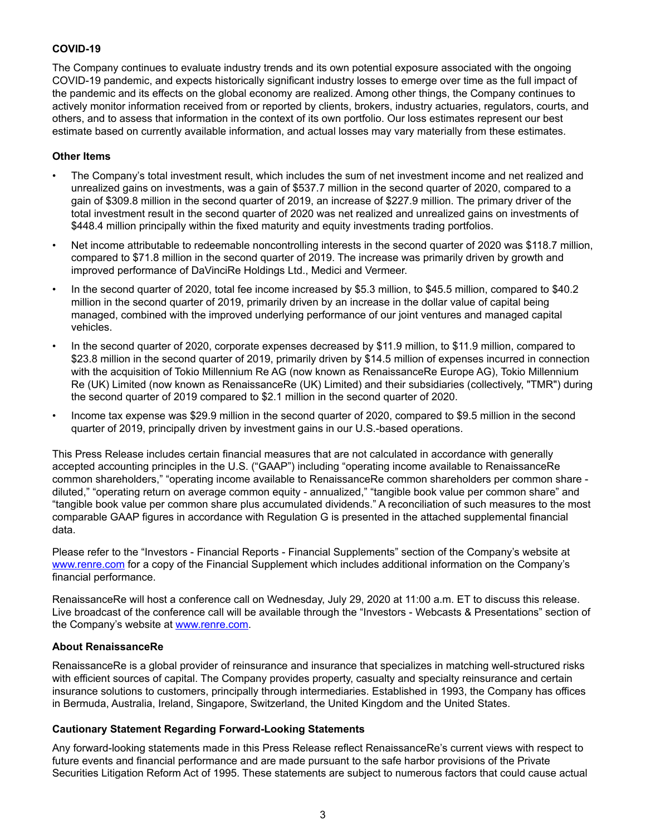## **COVID-19**

The Company continues to evaluate industry trends and its own potential exposure associated with the ongoing COVID-19 pandemic, and expects historically significant industry losses to emerge over time as the full impact of the pandemic and its effects on the global economy are realized. Among other things, the Company continues to actively monitor information received from or reported by clients, brokers, industry actuaries, regulators, courts, and others, and to assess that information in the context of its own portfolio. Our loss estimates represent our best estimate based on currently available information, and actual losses may vary materially from these estimates.

## **Other Items**

- The Company's total investment result, which includes the sum of net investment income and net realized and unrealized gains on investments, was a gain of \$537.7 million in the second quarter of 2020, compared to a gain of \$309.8 million in the second quarter of 2019, an increase of \$227.9 million. The primary driver of the total investment result in the second quarter of 2020 was net realized and unrealized gains on investments of \$448.4 million principally within the fixed maturity and equity investments trading portfolios.
- Net income attributable to redeemable noncontrolling interests in the second quarter of 2020 was \$118.7 million, compared to \$71.8 million in the second quarter of 2019. The increase was primarily driven by growth and improved performance of DaVinciRe Holdings Ltd., Medici and Vermeer.
- In the second quarter of 2020, total fee income increased by \$5.3 million, to \$45.5 million, compared to \$40.2 million in the second quarter of 2019, primarily driven by an increase in the dollar value of capital being managed, combined with the improved underlying performance of our joint ventures and managed capital vehicles.
- In the second quarter of 2020, corporate expenses decreased by \$11.9 million, to \$11.9 million, compared to \$23.8 million in the second quarter of 2019, primarily driven by \$14.5 million of expenses incurred in connection with the acquisition of Tokio Millennium Re AG (now known as RenaissanceRe Europe AG), Tokio Millennium Re (UK) Limited (now known as RenaissanceRe (UK) Limited) and their subsidiaries (collectively, "TMR") during the second quarter of 2019 compared to \$2.1 million in the second quarter of 2020.
- Income tax expense was \$29.9 million in the second quarter of 2020, compared to \$9.5 million in the second quarter of 2019, principally driven by investment gains in our U.S.-based operations.

This Press Release includes certain financial measures that are not calculated in accordance with generally accepted accounting principles in the U.S. ("GAAP") including "operating income available to RenaissanceRe common shareholders," "operating income available to RenaissanceRe common shareholders per common share diluted," "operating return on average common equity - annualized," "tangible book value per common share" and "tangible book value per common share plus accumulated dividends." A reconciliation of such measures to the most comparable GAAP figures in accordance with Regulation G is presented in the attached supplemental financial data.

Please refer to the "Investors - Financial Reports - Financial Supplements" section of the Company's website at www.renre.com for a copy of the Financial Supplement which includes additional information on the Company's financial performance.

RenaissanceRe will host a conference call on Wednesday, July 29, 2020 at 11:00 a.m. ET to discuss this release. Live broadcast of the conference call will be available through the "Investors - Webcasts & Presentations" section of the Company's website at **www.renre.com**.

#### **About RenaissanceRe**

RenaissanceRe is a global provider of reinsurance and insurance that specializes in matching well-structured risks with efficient sources of capital. The Company provides property, casualty and specialty reinsurance and certain insurance solutions to customers, principally through intermediaries. Established in 1993, the Company has offices in Bermuda, Australia, Ireland, Singapore, Switzerland, the United Kingdom and the United States.

#### **Cautionary Statement Regarding Forward-Looking Statements**

Any forward-looking statements made in this Press Release reflect RenaissanceRe's current views with respect to future events and financial performance and are made pursuant to the safe harbor provisions of the Private Securities Litigation Reform Act of 1995. These statements are subject to numerous factors that could cause actual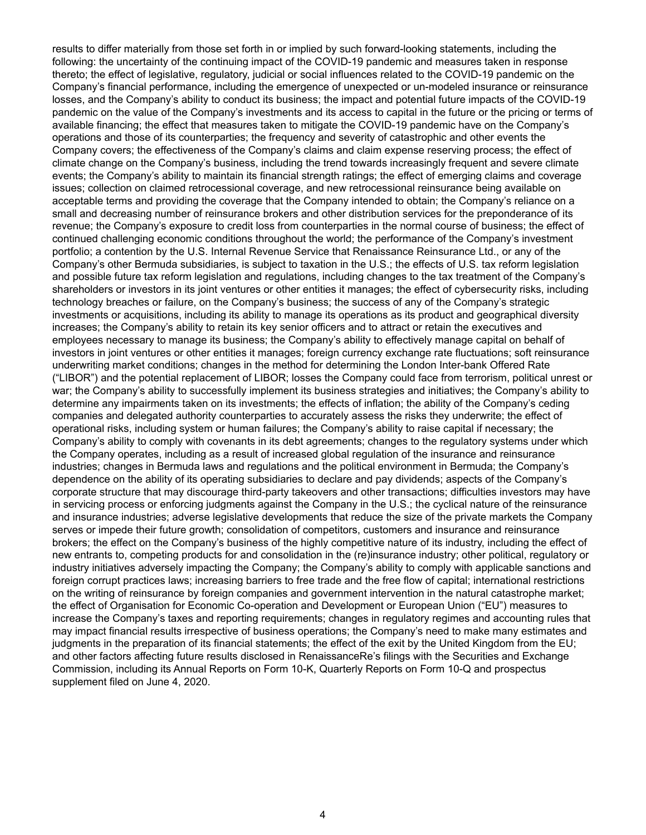results to differ materially from those set forth in or implied by such forward-looking statements, including the following: the uncertainty of the continuing impact of the COVID-19 pandemic and measures taken in response thereto; the effect of legislative, regulatory, judicial or social influences related to the COVID-19 pandemic on the Company's financial performance, including the emergence of unexpected or un-modeled insurance or reinsurance losses, and the Company's ability to conduct its business; the impact and potential future impacts of the COVID-19 pandemic on the value of the Company's investments and its access to capital in the future or the pricing or terms of available financing; the effect that measures taken to mitigate the COVID-19 pandemic have on the Company's operations and those of its counterparties; the frequency and severity of catastrophic and other events the Company covers; the effectiveness of the Company's claims and claim expense reserving process; the effect of climate change on the Company's business, including the trend towards increasingly frequent and severe climate events; the Company's ability to maintain its financial strength ratings; the effect of emerging claims and coverage issues; collection on claimed retrocessional coverage, and new retrocessional reinsurance being available on acceptable terms and providing the coverage that the Company intended to obtain; the Company's reliance on a small and decreasing number of reinsurance brokers and other distribution services for the preponderance of its revenue; the Company's exposure to credit loss from counterparties in the normal course of business; the effect of continued challenging economic conditions throughout the world; the performance of the Company's investment portfolio; a contention by the U.S. Internal Revenue Service that Renaissance Reinsurance Ltd., or any of the Company's other Bermuda subsidiaries, is subject to taxation in the U.S.; the effects of U.S. tax reform legislation and possible future tax reform legislation and regulations, including changes to the tax treatment of the Company's shareholders or investors in its joint ventures or other entities it manages; the effect of cybersecurity risks, including technology breaches or failure, on the Company's business; the success of any of the Company's strategic investments or acquisitions, including its ability to manage its operations as its product and geographical diversity increases; the Company's ability to retain its key senior officers and to attract or retain the executives and employees necessary to manage its business; the Company's ability to effectively manage capital on behalf of investors in joint ventures or other entities it manages; foreign currency exchange rate fluctuations; soft reinsurance underwriting market conditions; changes in the method for determining the London Inter-bank Offered Rate ("LIBOR") and the potential replacement of LIBOR; losses the Company could face from terrorism, political unrest or war; the Company's ability to successfully implement its business strategies and initiatives; the Company's ability to determine any impairments taken on its investments; the effects of inflation; the ability of the Company's ceding companies and delegated authority counterparties to accurately assess the risks they underwrite; the effect of operational risks, including system or human failures; the Company's ability to raise capital if necessary; the Company's ability to comply with covenants in its debt agreements; changes to the regulatory systems under which the Company operates, including as a result of increased global regulation of the insurance and reinsurance industries; changes in Bermuda laws and regulations and the political environment in Bermuda; the Company's dependence on the ability of its operating subsidiaries to declare and pay dividends; aspects of the Company's corporate structure that may discourage third-party takeovers and other transactions; difficulties investors may have in servicing process or enforcing judgments against the Company in the U.S.; the cyclical nature of the reinsurance and insurance industries; adverse legislative developments that reduce the size of the private markets the Company serves or impede their future growth; consolidation of competitors, customers and insurance and reinsurance brokers; the effect on the Company's business of the highly competitive nature of its industry, including the effect of new entrants to, competing products for and consolidation in the (re)insurance industry; other political, regulatory or industry initiatives adversely impacting the Company; the Company's ability to comply with applicable sanctions and foreign corrupt practices laws; increasing barriers to free trade and the free flow of capital; international restrictions on the writing of reinsurance by foreign companies and government intervention in the natural catastrophe market; the effect of Organisation for Economic Co-operation and Development or European Union ("EU") measures to increase the Company's taxes and reporting requirements; changes in regulatory regimes and accounting rules that may impact financial results irrespective of business operations; the Company's need to make many estimates and judgments in the preparation of its financial statements; the effect of the exit by the United Kingdom from the EU; and other factors affecting future results disclosed in RenaissanceRe's filings with the Securities and Exchange Commission, including its Annual Reports on Form 10-K, Quarterly Reports on Form 10-Q and prospectus supplement filed on June 4, 2020.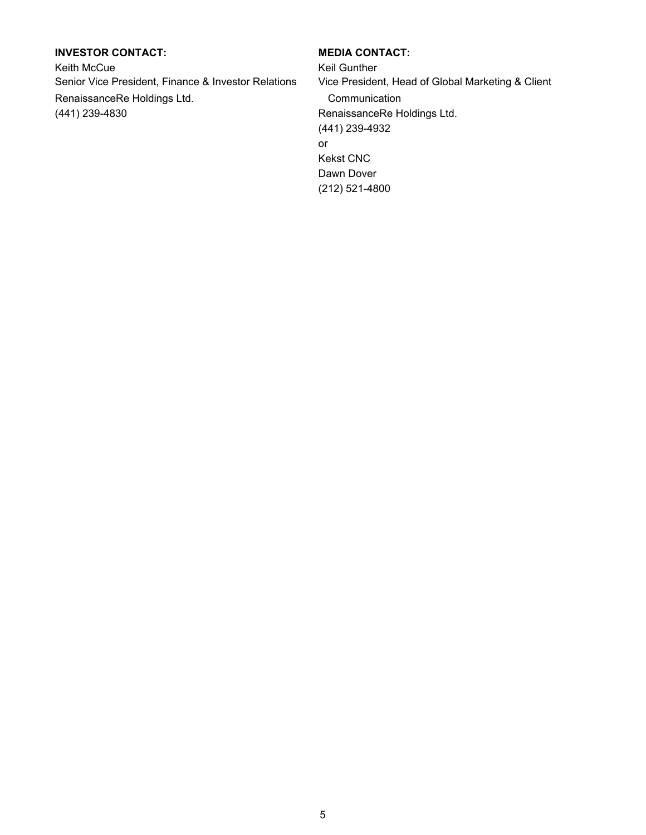## **INVESTOR CONTACT: MEDIA CONTACT:**

Keith McCue **Keil Gunther** Keil Gunther Senior Vice President, Finance & Investor Relations Vice President, Head of Global Marketing & Client RenaissanceRe Holdings Ltd. Communication (441) 239-4830 RenaissanceRe Holdings Ltd.

(441) 239-4932 or Kekst CNC Dawn Dover (212) 521-4800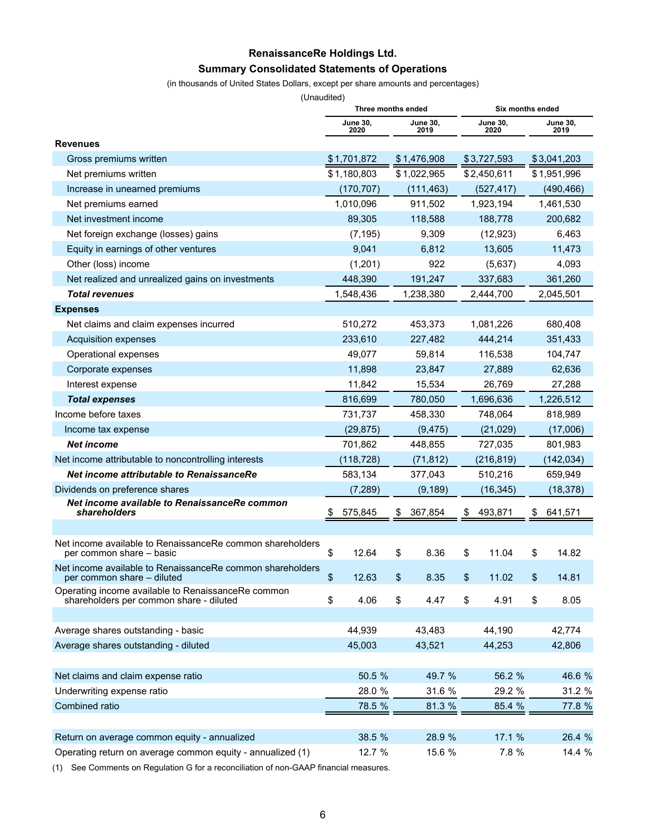# **RenaissanceRe Holdings Ltd. Summary Consolidated Statements of Operations**

(in thousands of United States Dollars, except per share amounts and percentages)

(Unaudited)

|                                                                                               |                         | Three months ended      | Six months ended        |                         |  |
|-----------------------------------------------------------------------------------------------|-------------------------|-------------------------|-------------------------|-------------------------|--|
|                                                                                               | <b>June 30,</b><br>2020 | <b>June 30,</b><br>2019 | <b>June 30,</b><br>2020 | <b>June 30,</b><br>2019 |  |
| <b>Revenues</b>                                                                               |                         |                         |                         |                         |  |
| Gross premiums written                                                                        | \$1,701,872             | \$1,476,908             | \$3,727,593             | \$3,041,203             |  |
| Net premiums written                                                                          | \$1.180.803             | \$1,022,965             | \$2,450,611             | \$1,951,996             |  |
| Increase in unearned premiums                                                                 | (170, 707)              | (111, 463)              | (527, 417)              | (490, 466)              |  |
| Net premiums earned                                                                           | 1,010,096               | 911,502                 | 1,923,194               | 1,461,530               |  |
| Net investment income                                                                         | 89,305                  | 118,588                 | 188,778                 | 200,682                 |  |
| Net foreign exchange (losses) gains                                                           | (7, 195)                | 9,309                   | (12, 923)               | 6,463                   |  |
| Equity in earnings of other ventures                                                          | 9,041                   | 6,812                   | 13,605                  | 11,473                  |  |
| Other (loss) income                                                                           | (1,201)                 | 922                     | (5,637)                 | 4,093                   |  |
| Net realized and unrealized gains on investments                                              | 448,390                 | 191,247                 | 337,683                 | 361,260                 |  |
| <b>Total revenues</b>                                                                         | 1,548,436               | 1,238,380               | 2,444,700               | 2,045,501               |  |
| <b>Expenses</b>                                                                               |                         |                         |                         |                         |  |
| Net claims and claim expenses incurred                                                        | 510,272                 | 453.373                 | 1,081,226               | 680,408                 |  |
| Acquisition expenses                                                                          | 233,610                 | 227,482                 | 444,214                 | 351,433                 |  |
| Operational expenses                                                                          | 49,077                  | 59,814                  | 116,538                 | 104,747                 |  |
| Corporate expenses                                                                            | 11,898                  | 23,847                  | 27,889                  | 62,636                  |  |
| Interest expense                                                                              | 11,842                  | 15,534                  | 26,769                  | 27,288                  |  |
| <b>Total expenses</b>                                                                         | 816,699                 | 780,050                 | 1,696,636               | 1,226,512               |  |
| Income before taxes                                                                           | 731,737                 | 458,330                 | 748,064                 | 818,989                 |  |
| Income tax expense                                                                            | (29, 875)               | (9, 475)                | (21, 029)               | (17,006)                |  |
| <b>Net income</b>                                                                             | 701,862                 | 448,855                 | 727,035                 | 801,983                 |  |
| Net income attributable to noncontrolling interests                                           | (118, 728)              | (71, 812)               | (216, 819)              | (142, 034)              |  |
| Net income attributable to RenaissanceRe                                                      | 583,134                 | 377,043                 | 510,216                 | 659,949                 |  |
| Dividends on preference shares                                                                | (7, 289)                | (9, 189)                | (16, 345)               | (18, 378)               |  |
| Net income available to RenaissanceRe common<br>shareholders                                  | \$575,845               | \$367,854               | \$493,871               | \$ 641,571              |  |
|                                                                                               |                         |                         |                         |                         |  |
| Net income available to RenaissanceRe common shareholders<br>per common share - basic         | \$<br>12.64             | \$<br>8.36              | \$<br>11.04             | \$<br>14.82             |  |
| Net income available to RenaissanceRe common shareholders<br>per common share - diluted       | \$<br>12.63             | \$<br>8.35              | \$<br>11.02             | \$<br>14.81             |  |
| Operating income available to RenaissanceRe common<br>shareholders per common share - diluted | \$<br>4.06              | \$<br>4.47              | \$<br>4.91              | \$<br>8.05              |  |
|                                                                                               | 44,939                  |                         |                         |                         |  |
| Average shares outstanding - basic                                                            |                         | 43,483                  | 44,190                  | 42,774                  |  |
| Average shares outstanding - diluted                                                          | 45,003                  | 43,521                  | 44,253                  | 42,806                  |  |
| Net claims and claim expense ratio                                                            | 50.5 %                  | 49.7 %                  | 56.2 %                  | 46.6 %                  |  |
| Underwriting expense ratio                                                                    | 28.0 %                  | 31.6 %                  | 29.2 %                  | 31.2 %                  |  |
| Combined ratio                                                                                | 78.5 %                  | 81.3 %                  | 85.4 %                  | 77.8 %                  |  |
|                                                                                               |                         |                         |                         |                         |  |
| Return on average common equity - annualized                                                  | 38.5 %                  | 28.9 %                  | 17.1 %                  | 26.4 %                  |  |
| Operating return on average common equity - annualized (1)                                    | 12.7 %                  | 15.6 %                  | 7.8 %                   | 14.4 %                  |  |

(1) See Comments on Regulation G for a reconciliation of non-GAAP financial measures.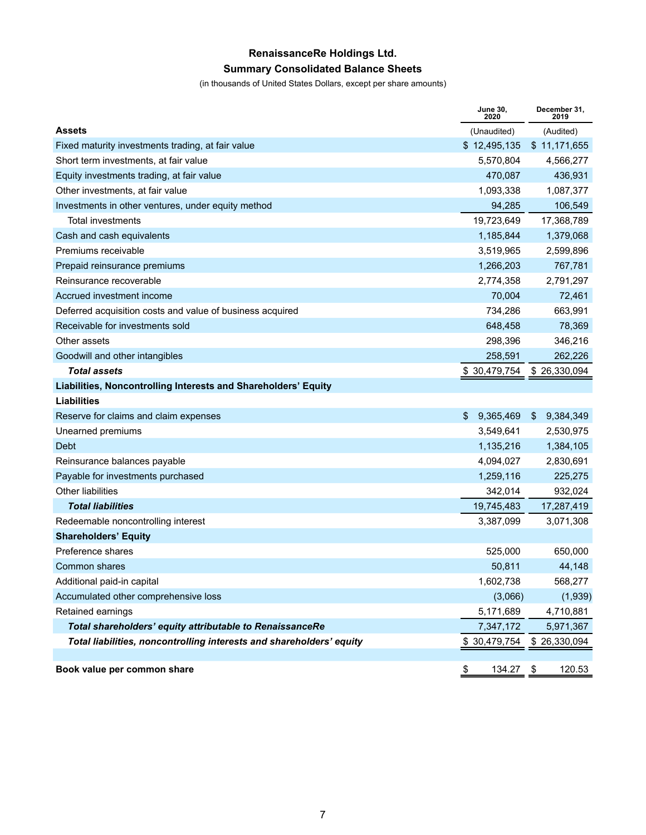# **RenaissanceRe Holdings Ltd.**

# **Summary Consolidated Balance Sheets**

(in thousands of United States Dollars, except per share amounts)

|                                                                      | <b>June 30,</b><br>2020     | December 31,<br>2019 |
|----------------------------------------------------------------------|-----------------------------|----------------------|
| <b>Assets</b>                                                        | (Unaudited)                 | (Audited)            |
| Fixed maturity investments trading, at fair value                    | \$12,495,135                | \$11,171,655         |
| Short term investments, at fair value                                | 5,570,804                   | 4,566,277            |
| Equity investments trading, at fair value                            | 470,087                     | 436,931              |
| Other investments, at fair value                                     | 1,093,338                   | 1,087,377            |
| Investments in other ventures, under equity method                   | 94,285                      | 106,549              |
| Total investments                                                    | 19,723,649                  | 17,368,789           |
| Cash and cash equivalents                                            | 1,185,844                   | 1,379,068            |
| Premiums receivable                                                  | 3,519,965                   | 2,599,896            |
| Prepaid reinsurance premiums                                         | 1,266,203                   | 767,781              |
| Reinsurance recoverable                                              | 2,774,358                   | 2,791,297            |
| Accrued investment income                                            | 70,004                      | 72,461               |
| Deferred acquisition costs and value of business acquired            | 734,286                     | 663,991              |
| Receivable for investments sold                                      | 648,458                     | 78,369               |
| Other assets                                                         | 298,396                     | 346,216              |
| Goodwill and other intangibles                                       | 258,591                     | 262,226              |
| Total assets                                                         | \$30,479,754                | \$26,330,094         |
| Liabilities, Noncontrolling Interests and Shareholders' Equity       |                             |                      |
| <b>Liabilities</b>                                                   |                             |                      |
| Reserve for claims and claim expenses                                | $\mathfrak{S}$<br>9,365,469 | 9,384,349<br>-S      |
| Unearned premiums                                                    | 3,549,641                   | 2,530,975            |
| Debt                                                                 | 1,135,216                   | 1,384,105            |
| Reinsurance balances payable                                         | 4,094,027                   | 2,830,691            |
| Payable for investments purchased                                    | 1,259,116                   | 225,275              |
| <b>Other liabilities</b>                                             | 342,014                     | 932,024              |
| <b>Total liabilities</b>                                             | 19,745,483                  | 17,287,419           |
| Redeemable noncontrolling interest                                   | 3,387,099                   | 3,071,308            |
| <b>Shareholders' Equity</b>                                          |                             |                      |
| Preference shares                                                    | 525,000                     | 650,000              |
| Common shares                                                        | 50,811                      | 44,148               |
| Additional paid-in capital                                           | 1,602,738                   | 568,277              |
| Accumulated other comprehensive loss                                 | (3,066)                     | (1,939)              |
| Retained earnings                                                    | 5,171,689                   | 4,710,881            |
| Total shareholders' equity attributable to RenaissanceRe             | 7,347,172                   | 5,971,367            |
| Total liabilities, noncontrolling interests and shareholders' equity | \$30,479,754                | \$26,330,094         |
|                                                                      |                             |                      |
| Book value per common share                                          | 134.27 \$<br>\$             | 120.53               |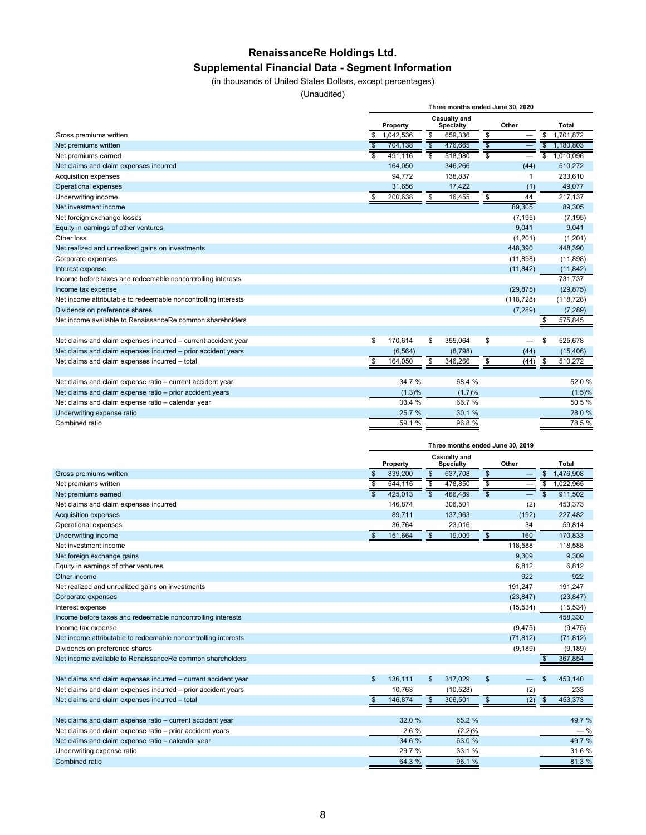## **RenaissanceRe Holdings Ltd. Supplemental Financial Data - Segment Information**

## (in thousands of United States Dollars, except percentages)

(Unaudited)

|                                                                | Three months ended June 30, 2020 |           |    |                                  |    |                          |                         |              |  |
|----------------------------------------------------------------|----------------------------------|-----------|----|----------------------------------|----|--------------------------|-------------------------|--------------|--|
|                                                                | Property                         |           |    | Casualty and<br><b>Specialty</b> |    | Other                    |                         | <b>Total</b> |  |
| Gross premiums written                                         | \$                               | 1,042,536 | \$ | 659,336                          | \$ | $\overline{\phantom{0}}$ | \$                      | 1,701,872    |  |
| Net premiums written                                           | $\overline{\mathbb{S}}$          | 704.138   |    | 476,665                          |    |                          | $\overline{\mathbb{s}}$ | 1.180.803    |  |
| Net premiums earned                                            |                                  | 491,116   |    | 518,980                          | \$ |                          | \$                      | 1,010,096    |  |
| Net claims and claim expenses incurred                         |                                  | 164,050   |    | 346,266                          |    | (44)                     |                         | 510,272      |  |
| Acquisition expenses                                           |                                  | 94.772    |    | 138,837                          |    | 1                        |                         | 233,610      |  |
| Operational expenses                                           |                                  | 31.656    |    | 17,422                           |    | (1)                      |                         | 49.077       |  |
| Underwriting income                                            | \$                               | 200,638   | \$ | 16,455                           | \$ | 44                       |                         | 217,137      |  |
| Net investment income                                          |                                  |           |    |                                  |    | 89,305                   |                         | 89,305       |  |
| Net foreign exchange losses                                    |                                  |           |    |                                  |    | (7, 195)                 |                         | (7, 195)     |  |
| Equity in earnings of other ventures                           |                                  |           |    |                                  |    | 9,041                    |                         | 9,041        |  |
| Other loss                                                     |                                  |           |    |                                  |    | (1,201)                  |                         | (1,201)      |  |
| Net realized and unrealized gains on investments               |                                  |           |    |                                  |    | 448,390                  |                         | 448,390      |  |
| Corporate expenses                                             |                                  |           |    |                                  |    | (11, 898)                |                         | (11, 898)    |  |
| Interest expense                                               |                                  |           |    |                                  |    | (11, 842)                |                         | (11, 842)    |  |
| Income before taxes and redeemable noncontrolling interests    |                                  |           |    |                                  |    |                          |                         | 731,737      |  |
| Income tax expense                                             |                                  |           |    |                                  |    | (29, 875)                |                         | (29, 875)    |  |
| Net income attributable to redeemable noncontrolling interests |                                  |           |    |                                  |    | (118, 728)               |                         | (118, 728)   |  |
| Dividends on preference shares                                 |                                  |           |    |                                  |    | (7, 289)                 |                         | (7, 289)     |  |
| Net income available to RenaissanceRe common shareholders      |                                  |           |    |                                  |    |                          | S                       | 575,845      |  |
|                                                                |                                  |           |    |                                  |    |                          |                         |              |  |
| Net claims and claim expenses incurred - current accident year | \$                               | 170.614   | \$ | 355,064                          | \$ |                          | \$                      | 525,678      |  |
| Net claims and claim expenses incurred - prior accident years  |                                  | (6, 564)  |    | (8,798)                          |    | (44)                     |                         | (15, 406)    |  |
| Net claims and claim expenses incurred - total                 | \$.                              | 164.050   | \$ | 346.266                          | \$ | (44)                     | \$                      | 510,272      |  |
|                                                                |                                  |           |    |                                  |    |                          |                         |              |  |
| Net claims and claim expense ratio - current accident year     |                                  | 34.7 %    |    | 68.4 %                           |    |                          |                         | 52.0 %       |  |
| Net claims and claim expense ratio - prior accident years      |                                  | (1.3)%    |    | (1.7)%                           |    |                          |                         | (1.5)%       |  |
| Net claims and claim expense ratio - calendar year             |                                  | 33.4 %    |    | 66.7 %                           |    |                          |                         | 50.5 %       |  |
| Underwriting expense ratio                                     |                                  | 25.7 %    |    | 30.1 %                           |    |                          |                         | 28.0 %       |  |
| Combined ratio                                                 |                                  | 59.1 %    |    | 96.8 %                           |    |                          |                         | 78.5 %       |  |

|                                                                | Three months ended June 30, 2019 |         |                                  |           |                         |           |               |           |
|----------------------------------------------------------------|----------------------------------|---------|----------------------------------|-----------|-------------------------|-----------|---------------|-----------|
|                                                                | Property                         |         | Casualty and<br><b>Specialty</b> |           | Other                   |           |               | Total     |
| Gross premiums written                                         | \$                               | 839.200 | $\mathfrak{s}$                   | 637,708   | $\sqrt[6]{3}$           |           | \$            | 1,476,908 |
| Net premiums written                                           |                                  | 544,115 |                                  | 478,850   | 7                       |           | \$            | 1,022,965 |
| Net premiums earned                                            | $\overline{\mathsf{s}}$          | 425.013 | $\overline{\$}$                  | 486,489   | Ŝ.                      |           | Ŝ             | 911,502   |
| Net claims and claim expenses incurred                         |                                  | 146.874 |                                  | 306.501   |                         | (2)       |               | 453,373   |
| <b>Acquisition expenses</b>                                    |                                  | 89,711  |                                  | 137,963   |                         | (192)     |               | 227,482   |
| Operational expenses                                           |                                  | 36,764  |                                  | 23,016    |                         | 34        |               | 59.814    |
| Underwriting income                                            | \$                               | 151,664 | $\sqrt[6]{3}$                    | 19,009    | $\sqrt[6]{\frac{1}{2}}$ | 160       |               | 170,833   |
| Net investment income                                          |                                  |         |                                  |           |                         | 118,588   |               | 118,588   |
| Net foreign exchange gains                                     |                                  |         |                                  |           |                         | 9,309     |               | 9,309     |
| Equity in earnings of other ventures                           |                                  |         |                                  |           |                         | 6,812     |               | 6.812     |
| Other income                                                   |                                  |         |                                  |           |                         | 922       |               | 922       |
| Net realized and unrealized gains on investments               |                                  |         |                                  |           |                         | 191,247   |               | 191,247   |
| Corporate expenses                                             |                                  |         |                                  |           |                         | (23, 847) |               | (23, 847) |
| Interest expense                                               |                                  |         |                                  |           |                         | (15, 534) |               | (15, 534) |
| Income before taxes and redeemable noncontrolling interests    |                                  |         |                                  |           |                         |           |               | 458,330   |
| Income tax expense                                             |                                  |         |                                  |           |                         | (9, 475)  |               | (9, 475)  |
| Net income attributable to redeemable noncontrolling interests |                                  |         |                                  |           |                         | (71, 812) |               | (71, 812) |
| Dividends on preference shares                                 |                                  |         |                                  |           |                         | (9, 189)  |               | (9, 189)  |
| Net income available to RenaissanceRe common shareholders      |                                  |         |                                  |           |                         |           |               | 367,854   |
|                                                                |                                  |         |                                  |           |                         |           |               |           |
| Net claims and claim expenses incurred - current accident year | $\mathbf{\$}$                    | 136,111 | \$                               | 317.029   | $\sqrt[6]{3}$           |           | \$            | 453.140   |
| Net claims and claim expenses incurred - prior accident years  |                                  | 10,763  |                                  | (10, 528) |                         | (2)       |               | 233       |
| Net claims and claim expenses incurred - total                 | \$                               | 146,874 | $\sqrt[6]{3}$                    | 306,501   | $\sqrt[6]{3}$           | (2)       | $\frac{1}{2}$ | 453,373   |
|                                                                |                                  |         |                                  |           |                         |           |               |           |
| Net claims and claim expense ratio - current accident year     |                                  | 32.0 %  |                                  | 65.2 %    |                         |           |               | 49.7 %    |
| Net claims and claim expense ratio - prior accident years      |                                  | 2.6 %   |                                  | (2.2)%    |                         |           |               | $-$ %     |
| Net claims and claim expense ratio - calendar year             |                                  | 34.6 %  |                                  | 63.0 %    |                         |           |               | 49.7 %    |
| Underwriting expense ratio                                     |                                  | 29.7 %  |                                  | 33.1 %    |                         |           |               | 31.6 %    |
| Combined ratio                                                 |                                  | 64.3 %  |                                  | 96.1 %    |                         |           |               | 81.3 %    |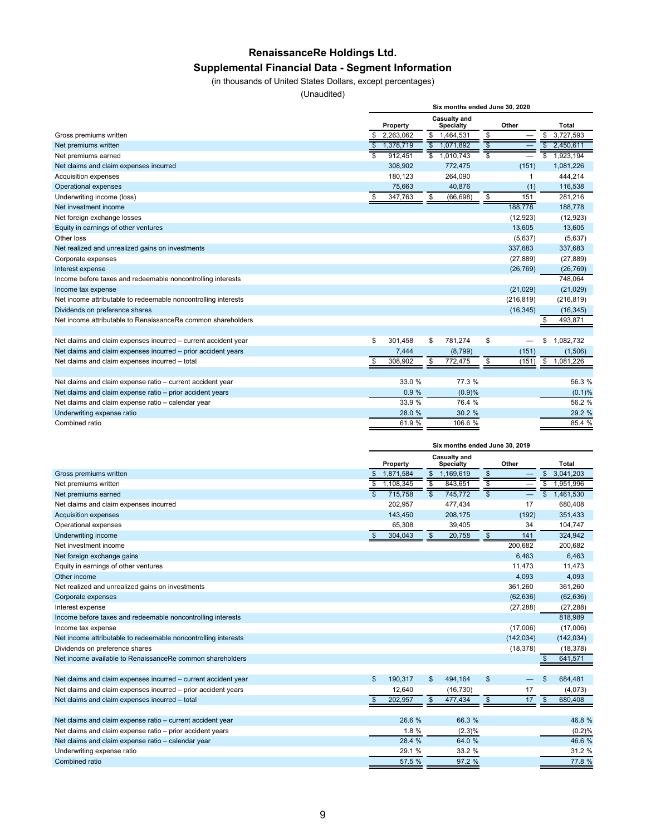# **RenaissanceRe Holdings Ltd.**

# **Supplemental Financial Data - Segment Information**

(in thousands of United States Dollars, except percentages)

(Unaudited)

|                                                                | Six months ended June 30, 2020 |           |                         |                                         |                         |                   |    |             |
|----------------------------------------------------------------|--------------------------------|-----------|-------------------------|-----------------------------------------|-------------------------|-------------------|----|-------------|
|                                                                | Property                       |           |                         | <b>Casualty and</b><br><b>Specialty</b> | Other                   |                   |    | Total       |
| Gross premiums written                                         | \$                             | 2,263,062 | \$                      | 1,464,531                               | \$                      |                   | \$ | 3,727,593   |
| Net premiums written                                           | $\overline{\mathbb{s}}$        | 1.378.719 | $\overline{\mathbb{S}}$ | 1,071,892                               | $\overline{\mathbb{S}}$ | $\qquad \qquad -$ | \$ | 2,450,611   |
| Net premiums earned                                            | $\overline{s}$                 | 912.451   | \$                      | 1,010,743                               |                         |                   | \$ | 1,923,194   |
| Net claims and claim expenses incurred                         |                                | 308.902   |                         | 772,475                                 |                         | (151)             |    | 1,081,226   |
| <b>Acquisition expenses</b>                                    |                                | 180,123   |                         | 264,090                                 |                         | 1                 |    | 444,214     |
| Operational expenses                                           |                                | 75.663    |                         | 40.876                                  |                         | (1)               |    | 116.538     |
| Underwriting income (loss)                                     | \$                             | 347,763   | \$                      | (66, 698)                               | \$                      | 151               |    | 281,216     |
| Net investment income                                          |                                |           |                         |                                         |                         | 188,778           |    | 188,778     |
| Net foreign exchange losses                                    |                                |           |                         |                                         |                         | (12, 923)         |    | (12, 923)   |
| Equity in earnings of other ventures                           |                                |           |                         |                                         |                         | 13,605            |    | 13,605      |
| Other loss                                                     |                                |           |                         |                                         |                         | (5,637)           |    | (5,637)     |
| Net realized and unrealized gains on investments               |                                |           |                         |                                         |                         | 337,683           |    | 337,683     |
| Corporate expenses                                             |                                |           |                         |                                         |                         | (27, 889)         |    | (27, 889)   |
| Interest expense                                               |                                |           |                         |                                         |                         | (26, 769)         |    | (26, 769)   |
| Income before taxes and redeemable noncontrolling interests    |                                |           |                         |                                         |                         |                   |    | 748.064     |
| Income tax expense                                             |                                |           |                         |                                         |                         | (21, 029)         |    | (21, 029)   |
| Net income attributable to redeemable noncontrolling interests |                                |           |                         |                                         |                         | (216, 819)        |    | (216, 819)  |
| Dividends on preference shares                                 |                                |           |                         |                                         |                         | (16, 345)         |    | (16, 345)   |
| Net income attributable to RenaissanceRe common shareholders   |                                |           |                         |                                         |                         |                   | S  | 493,871     |
|                                                                |                                |           |                         |                                         |                         |                   |    |             |
| Net claims and claim expenses incurred - current accident year | \$                             | 301,458   | \$                      | 781,274                                 | \$                      |                   | \$ | 1,082,732   |
| Net claims and claim expenses incurred - prior accident years  |                                | 7,444     |                         | (8,799)                                 |                         | (151)             |    | (1,506)     |
| Net claims and claim expenses incurred - total                 | \$                             | 308,902   | \$                      | 772,475                                 | \$                      | (151)             |    | \$1,081,226 |
|                                                                |                                |           |                         |                                         |                         |                   |    |             |
| Net claims and claim expense ratio - current accident year     |                                | 33.0 %    |                         | 77.3 %                                  |                         |                   |    | 56.3 %      |
| Net claims and claim expense ratio - prior accident years      |                                | 0.9%      |                         | (0.9)%                                  |                         |                   |    | (0.1)%      |
| Net claims and claim expense ratio - calendar year             |                                | 33.9 %    |                         | 76.4 %                                  |                         |                   |    | 56.2 %      |
| Underwriting expense ratio                                     |                                | 28.0 %    |                         | 30.2 %                                  |                         |                   |    | 29.2 %      |
| Combined ratio                                                 |                                | 61.9%     |                         | 106.6 %                                 |                         |                   |    | 85.4 %      |

|                                                                | Six months ended June 30, 2019 |           |                                  |           |                         |            |               |            |
|----------------------------------------------------------------|--------------------------------|-----------|----------------------------------|-----------|-------------------------|------------|---------------|------------|
|                                                                | Property                       |           | Casualty and<br><b>Specialty</b> |           | Other                   |            |               | Total      |
| Gross premiums written                                         | \$.                            | 1.871.584 | \$                               | 1.169.619 | $\sqrt[6]{\frac{1}{2}}$ |            | \$            | 3.041.203  |
| Net premiums written                                           | \$                             | 1,108,345 |                                  | 843,651   | \$                      |            | \$            | 1,951,996  |
| Net premiums earned                                            |                                | 715.758   | \$                               | 745.772   | Ŝ.                      |            | \$            | 1,461,530  |
| Net claims and claim expenses incurred                         |                                | 202,957   |                                  | 477,434   |                         | 17         |               | 680,408    |
| <b>Acquisition expenses</b>                                    |                                | 143,450   |                                  | 208,175   |                         | (192)      |               | 351,433    |
| Operational expenses                                           |                                | 65,308    |                                  | 39,405    |                         | 34         |               | 104,747    |
| Underwriting income                                            | \$                             | 304,043   | \$                               | 20,758    | $\frac{1}{2}$           | 141        |               | 324,942    |
| Net investment income                                          |                                |           |                                  |           |                         | 200,682    |               | 200,682    |
| Net foreign exchange gains                                     |                                |           |                                  |           |                         | 6,463      |               | 6,463      |
| Equity in earnings of other ventures                           |                                |           |                                  |           |                         | 11,473     |               | 11,473     |
| Other income                                                   |                                |           |                                  |           |                         | 4,093      |               | 4,093      |
| Net realized and unrealized gains on investments               |                                |           |                                  |           |                         | 361.260    |               | 361,260    |
| Corporate expenses                                             |                                |           |                                  |           |                         | (62, 636)  |               | (62, 636)  |
| Interest expense                                               |                                |           |                                  |           |                         | (27, 288)  |               | (27, 288)  |
| Income before taxes and redeemable noncontrolling interests    |                                |           |                                  |           |                         |            |               | 818,989    |
| Income tax expense                                             |                                |           |                                  |           |                         | (17,006)   |               | (17,006)   |
| Net income attributable to redeemable noncontrolling interests |                                |           |                                  |           |                         | (142, 034) |               | (142, 034) |
| Dividends on preference shares                                 |                                |           |                                  |           |                         | (18, 378)  |               | (18, 378)  |
| Net income available to RenaissanceRe common shareholders      |                                |           |                                  |           |                         |            |               | 641,571    |
|                                                                |                                |           |                                  |           |                         |            |               |            |
| Net claims and claim expenses incurred – current accident year | $\mathfrak{s}$                 | 190.317   | \$                               | 494.164   | $\sqrt[6]{3}$           |            | \$            | 684,481    |
| Net claims and claim expenses incurred - prior accident years  |                                | 12,640    |                                  | (16, 730) |                         | 17         |               | (4,073)    |
| Net claims and claim expenses incurred - total                 | $\mathfrak{s}$                 | 202,957   | $\mathfrak{s}$                   | 477,434   | $\mathfrak{s}$          | 17         | $\sqrt[6]{3}$ | 680,408    |
|                                                                |                                |           |                                  |           |                         |            |               |            |
| Net claims and claim expense ratio - current accident year     |                                | 26.6 %    |                                  | 66.3 %    |                         |            |               | 46.8%      |
| Net claims and claim expense ratio - prior accident years      |                                | 1.8 %     |                                  | $(2.3)\%$ |                         |            |               | (0.2)%     |
| Net claims and claim expense ratio - calendar year             |                                | 28.4 %    |                                  | 64.0 %    |                         |            |               | 46.6 %     |
| Underwriting expense ratio                                     |                                | 29.1 %    |                                  | 33.2 %    |                         |            |               | 31.2 %     |
| Combined ratio                                                 |                                | 57.5 %    |                                  | 97.2 %    |                         |            |               | 77.8 %     |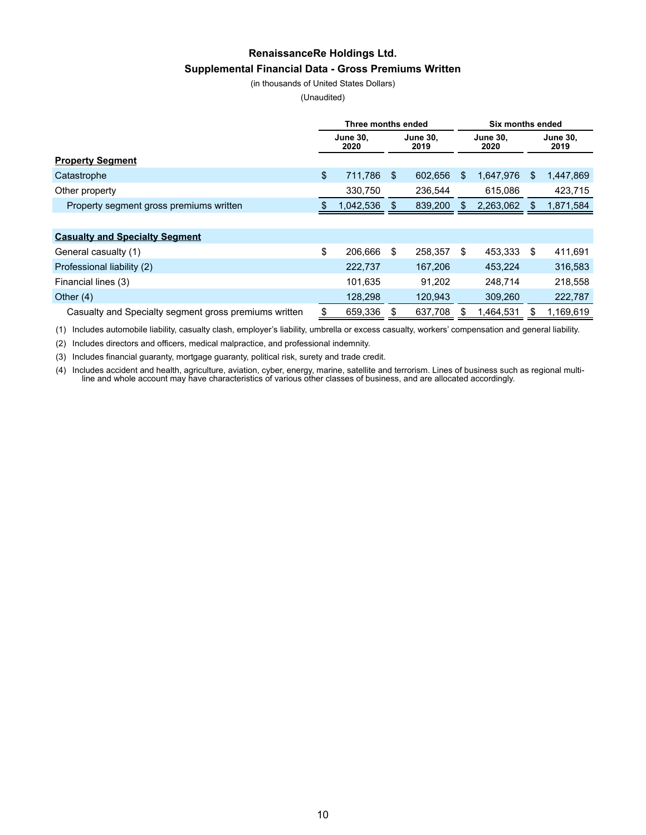## **RenaissanceRe Holdings Ltd. Supplemental Financial Data - Gross Premiums Written**

(in thousands of United States Dollars)

(Unaudited)

|                                                       | Three months ended      |           |    |                         |     | Six months ended        |     |                         |  |
|-------------------------------------------------------|-------------------------|-----------|----|-------------------------|-----|-------------------------|-----|-------------------------|--|
|                                                       | <b>June 30,</b><br>2020 |           |    | <b>June 30.</b><br>2019 |     | <b>June 30.</b><br>2020 |     | <b>June 30.</b><br>2019 |  |
| <b>Property Segment</b>                               |                         |           |    |                         |     |                         |     |                         |  |
| Catastrophe                                           | \$                      | 711,786   | \$ | 602.656                 | \$  | 1,647,976               | \$  | 1,447,869               |  |
| Other property                                        |                         | 330,750   |    | 236,544                 |     | 615,086                 |     | 423,715                 |  |
| Property segment gross premiums written               |                         | 1,042,536 |    | 839,200                 |     | 2,263,062               | \$. | 1,871,584               |  |
|                                                       |                         |           |    |                         |     |                         |     |                         |  |
| <b>Casualty and Specialty Segment</b>                 |                         |           |    |                         |     |                         |     |                         |  |
| General casualty (1)                                  | \$                      | 206.666   | \$ | 258.357                 | \$  | 453.333                 | \$  | 411,691                 |  |
| Professional liability (2)                            |                         | 222,737   |    | 167,206                 |     | 453.224                 |     | 316,583                 |  |
| Financial lines (3)                                   |                         | 101,635   |    | 91.202                  |     | 248,714                 |     | 218,558                 |  |
| Other $(4)$                                           |                         | 128,298   |    | 120,943                 |     | 309.260                 |     | 222,787                 |  |
| Casualty and Specialty segment gross premiums written | S                       | 659,336   | S. | 637,708                 | \$. | 1,464,531               | \$  | 1,169,619               |  |

(1) Includes automobile liability, casualty clash, employer's liability, umbrella or excess casualty, workers' compensation and general liability.

(2) Includes directors and officers, medical malpractice, and professional indemnity.

(3) Includes financial guaranty, mortgage guaranty, political risk, surety and trade credit.

(4) Includes accident and health, agriculture, aviation, cyber, energy, marine, satellite and terrorism. Lines of business such as regional multiline and whole account may have characteristics of various other classes of business, and are allocated accordingly.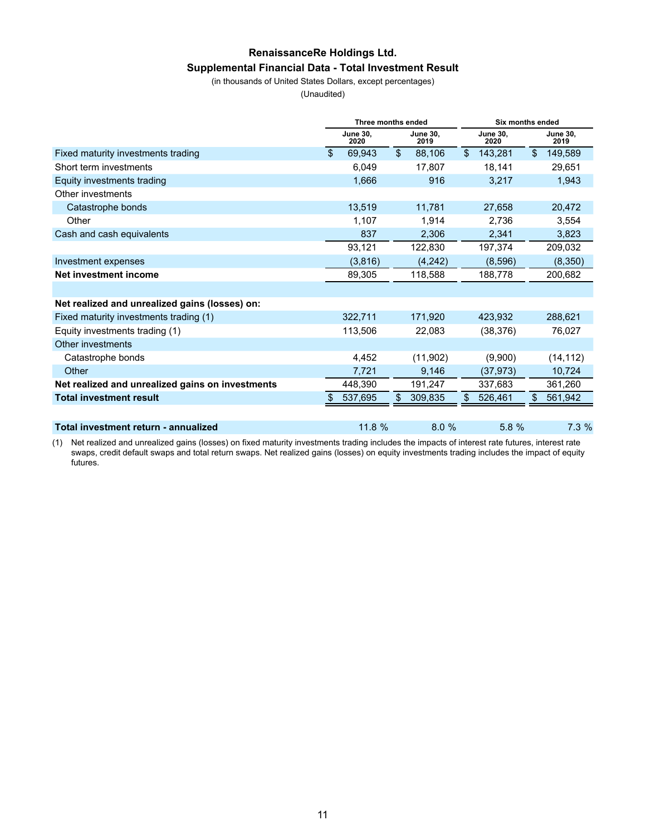# **RenaissanceRe Holdings Ltd. Supplemental Financial Data - Total Investment Result**

(in thousands of United States Dollars, except percentages)

(Unaudited)

|                                                  |                | Three months ended      |                | Six months ended        |                         |           |                |                         |
|--------------------------------------------------|----------------|-------------------------|----------------|-------------------------|-------------------------|-----------|----------------|-------------------------|
|                                                  |                | <b>June 30,</b><br>2020 |                | <b>June 30,</b><br>2019 | <b>June 30,</b><br>2020 |           |                | <b>June 30,</b><br>2019 |
| Fixed maturity investments trading               | $\mathfrak{L}$ | 69,943                  | $\mathfrak{S}$ | 88,106                  | $\mathbb{S}$            | 143,281   | $\mathfrak{L}$ | 149,589                 |
| Short term investments                           |                | 6,049                   |                | 17,807                  |                         | 18,141    |                | 29,651                  |
| Equity investments trading                       |                | 1,666                   |                | 916                     |                         | 3,217     |                | 1,943                   |
| Other investments                                |                |                         |                |                         |                         |           |                |                         |
| Catastrophe bonds                                |                | 13,519                  |                | 11,781                  |                         | 27,658    |                | 20,472                  |
| Other                                            |                | 1,107                   |                | 1,914                   |                         | 2,736     |                | 3,554                   |
| Cash and cash equivalents                        |                | 837                     |                | 2,306                   |                         | 2,341     |                | 3,823                   |
|                                                  |                | 93,121                  |                | 122,830                 |                         | 197,374   |                | 209,032                 |
| Investment expenses                              |                | (3,816)                 |                | (4,242)                 |                         | (8,596)   |                | (8,350)                 |
| Net investment income                            |                | 89,305                  |                | 118,588                 |                         | 188,778   |                | 200,682                 |
|                                                  |                |                         |                |                         |                         |           |                |                         |
| Net realized and unrealized gains (losses) on:   |                |                         |                |                         |                         |           |                |                         |
| Fixed maturity investments trading (1)           |                | 322,711                 |                | 171.920                 |                         | 423,932   |                | 288,621                 |
| Equity investments trading (1)                   |                | 113,506                 |                | 22,083                  |                         | (38, 376) |                | 76,027                  |
| Other investments                                |                |                         |                |                         |                         |           |                |                         |
| Catastrophe bonds                                |                | 4,452                   |                | (11, 902)               |                         | (9,900)   |                | (14, 112)               |
| Other                                            |                | 7,721                   |                | 9,146                   |                         | (37, 973) |                | 10,724                  |
| Net realized and unrealized gains on investments |                | 448,390                 |                | 191,247                 |                         | 337,683   |                | 361,260                 |
| <b>Total investment result</b>                   |                | 537,695                 | \$             | 309,835                 | \$                      | 526,461   | \$             | 561,942                 |
|                                                  |                |                         |                |                         |                         |           |                |                         |
| Total investment return - annualized             |                | 11.8 %                  |                | 8.0%                    |                         | 5.8%      |                | 7.3%                    |

(1) Net realized and unrealized gains (losses) on fixed maturity investments trading includes the impacts of interest rate futures, interest rate swaps, credit default swaps and total return swaps. Net realized gains (losses) on equity investments trading includes the impact of equity futures.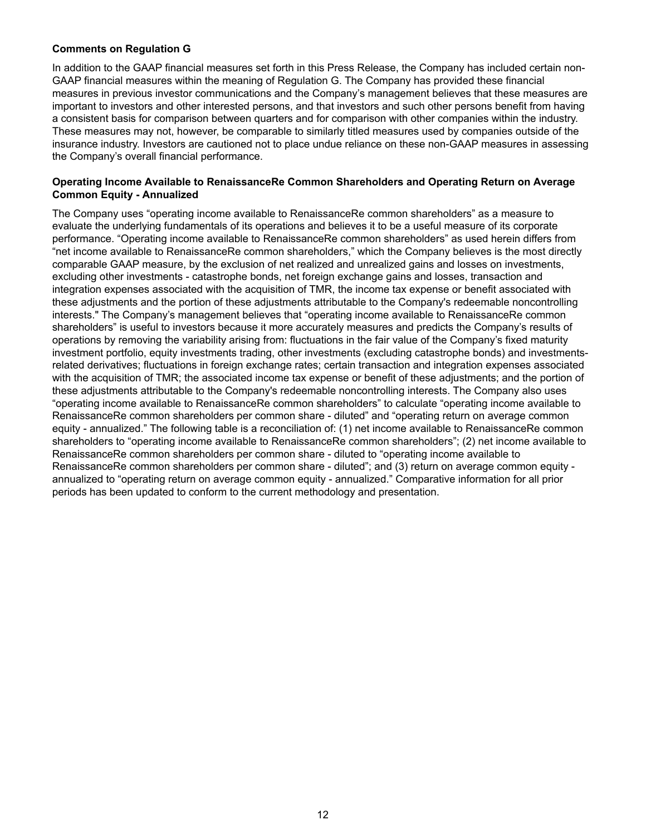## **Comments on Regulation G**

In addition to the GAAP financial measures set forth in this Press Release, the Company has included certain non-GAAP financial measures within the meaning of Regulation G. The Company has provided these financial measures in previous investor communications and the Company's management believes that these measures are important to investors and other interested persons, and that investors and such other persons benefit from having a consistent basis for comparison between quarters and for comparison with other companies within the industry. These measures may not, however, be comparable to similarly titled measures used by companies outside of the insurance industry. Investors are cautioned not to place undue reliance on these non-GAAP measures in assessing the Company's overall financial performance.

## **Operating Income Available to RenaissanceRe Common Shareholders and Operating Return on Average Common Equity - Annualized**

The Company uses "operating income available to RenaissanceRe common shareholders" as a measure to evaluate the underlying fundamentals of its operations and believes it to be a useful measure of its corporate performance. "Operating income available to RenaissanceRe common shareholders" as used herein differs from "net income available to RenaissanceRe common shareholders," which the Company believes is the most directly comparable GAAP measure, by the exclusion of net realized and unrealized gains and losses on investments, excluding other investments - catastrophe bonds, net foreign exchange gains and losses, transaction and integration expenses associated with the acquisition of TMR, the income tax expense or benefit associated with these adjustments and the portion of these adjustments attributable to the Company's redeemable noncontrolling interests." The Company's management believes that "operating income available to RenaissanceRe common shareholders" is useful to investors because it more accurately measures and predicts the Company's results of operations by removing the variability arising from: fluctuations in the fair value of the Company's fixed maturity investment portfolio, equity investments trading, other investments (excluding catastrophe bonds) and investmentsrelated derivatives; fluctuations in foreign exchange rates; certain transaction and integration expenses associated with the acquisition of TMR; the associated income tax expense or benefit of these adjustments; and the portion of these adjustments attributable to the Company's redeemable noncontrolling interests. The Company also uses "operating income available to RenaissanceRe common shareholders" to calculate "operating income available to RenaissanceRe common shareholders per common share - diluted" and "operating return on average common equity - annualized." The following table is a reconciliation of: (1) net income available to RenaissanceRe common shareholders to "operating income available to RenaissanceRe common shareholders"; (2) net income available to RenaissanceRe common shareholders per common share - diluted to "operating income available to RenaissanceRe common shareholders per common share - diluted"; and (3) return on average common equity annualized to "operating return on average common equity - annualized." Comparative information for all prior periods has been updated to conform to the current methodology and presentation.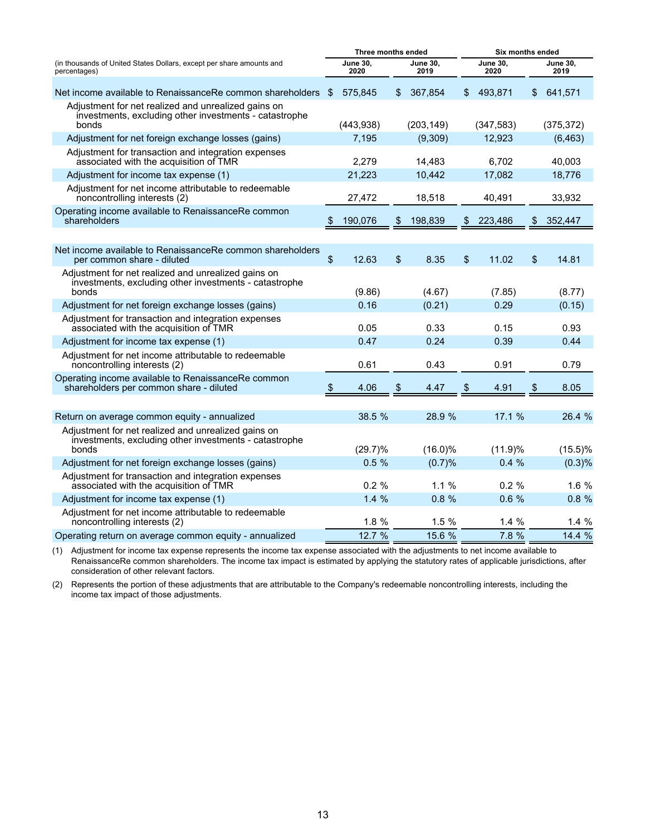|                                                                                                                        | Three months ended |                         |    |                         |                  | <b>Six months ended</b> |                  |  |  |
|------------------------------------------------------------------------------------------------------------------------|--------------------|-------------------------|----|-------------------------|------------------|-------------------------|------------------|--|--|
| (in thousands of United States Dollars, except per share amounts and<br>percentages)                                   |                    | <b>June 30,</b><br>2020 |    | <b>June 30.</b><br>2019 | June 30.<br>2020 |                         | June 30.<br>2019 |  |  |
| Net income available to RenaissanceRe common shareholders                                                              | \$                 | 575,845                 | \$ | 367,854                 | \$<br>493,871    | \$                      | 641,571          |  |  |
| Adjustment for net realized and unrealized gains on<br>investments, excluding other investments - catastrophe<br>bonds |                    | (443, 938)              |    | (203, 149)              | (347, 583)       |                         | (375, 372)       |  |  |
| Adjustment for net foreign exchange losses (gains)                                                                     |                    | 7,195                   |    | (9,309)                 | 12,923           |                         | (6, 463)         |  |  |
| Adjustment for transaction and integration expenses<br>associated with the acquisition of TMR                          |                    | 2.279                   |    | 14,483                  | 6,702            |                         | 40,003           |  |  |
| Adjustment for income tax expense (1)                                                                                  |                    | 21,223                  |    | 10,442                  | 17,082           |                         | 18,776           |  |  |
| Adjustment for net income attributable to redeemable<br>noncontrolling interests (2)                                   |                    | 27,472                  |    | 18,518                  | 40,491           |                         | 33,932           |  |  |
| Operating income available to RenaissanceRe common<br>shareholders                                                     |                    | 190,076                 | \$ | 198,839                 | \$<br>223,486    | \$                      | 352,447          |  |  |
|                                                                                                                        |                    |                         |    |                         |                  |                         |                  |  |  |
| Net income available to RenaissanceRe common shareholders<br>per common share - diluted                                | \$                 | 12.63                   | \$ | 8.35                    | \$<br>11.02      | $\mathfrak{L}$          | 14.81            |  |  |
| Adjustment for net realized and unrealized gains on<br>investments, excluding other investments - catastrophe<br>bonds |                    | (9.86)                  |    | (4.67)                  | (7.85)           |                         | (8.77)           |  |  |
| Adjustment for net foreign exchange losses (gains)                                                                     |                    | 0.16                    |    | (0.21)                  | 0.29             |                         | (0.15)           |  |  |
| Adjustment for transaction and integration expenses<br>associated with the acquisition of TMR                          |                    | 0.05                    |    | 0.33                    | 0.15             |                         | 0.93             |  |  |
| Adjustment for income tax expense (1)                                                                                  |                    | 0.47                    |    | 0.24                    | 0.39             |                         | 0.44             |  |  |
| Adjustment for net income attributable to redeemable<br>noncontrolling interests (2)                                   |                    | 0.61                    |    | 0.43                    | 0.91             |                         | 0.79             |  |  |
| Operating income available to RenaissanceRe common<br>shareholders per common share - diluted                          | \$                 | 4.06                    | \$ | 4.47                    | \$<br>4.91       | \$                      | 8.05             |  |  |
|                                                                                                                        |                    |                         |    |                         |                  |                         |                  |  |  |
| Return on average common equity - annualized                                                                           |                    | 38.5 %                  |    | 28.9 %                  | 17.1 %           |                         | 26.4 %           |  |  |
| Adjustment for net realized and unrealized gains on<br>investments, excluding other investments - catastrophe<br>bonds |                    | $(29.7)\%$              |    | $(16.0)\%$              | (11.9)%          |                         | $(15.5)\%$       |  |  |
| Adjustment for net foreign exchange losses (gains)                                                                     |                    | 0.5%                    |    | (0.7)%                  | 0.4%             |                         | (0.3)%           |  |  |
| Adjustment for transaction and integration expenses                                                                    |                    |                         |    |                         |                  |                         |                  |  |  |
| associated with the acquisition of TMR                                                                                 |                    | 0.2%                    |    | 1.1%                    | 0.2%             |                         | 1.6 %            |  |  |
| Adjustment for income tax expense (1)                                                                                  |                    | 1.4%                    |    | 0.8%                    | 0.6%             |                         | 0.8%             |  |  |
| Adjustment for net income attributable to redeemable<br>noncontrolling interests (2)                                   |                    | 1.8%                    |    | 1.5%                    | 1.4%             |                         | $1.4\%$          |  |  |
| Operating return on average common equity - annualized                                                                 |                    | 12.7 %                  |    | 15.6 %                  | 7.8 %            |                         | 14.4 %           |  |  |

(1) Adjustment for income tax expense represents the income tax expense associated with the adjustments to net income available to RenaissanceRe common shareholders. The income tax impact is estimated by applying the statutory rates of applicable jurisdictions, after consideration of other relevant factors.

(2) Represents the portion of these adjustments that are attributable to the Company's redeemable noncontrolling interests, including the income tax impact of those adjustments.